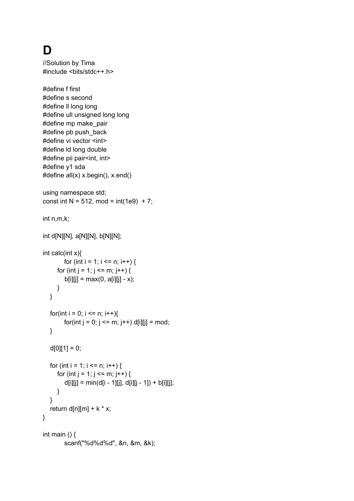## **D**

//Solution by Tima #include <bits/stdc++.h> #define f first #define s second #define ll long long #define ull unsigned long long #define mp make\_pair #define pb push\_back #define vi vector <int> #define ld long double #define pii pair<int, int> #define y1 sda #define all(x) x.begin(), x.end() using namespace std; const int N = 512, mod =  $int(1e9) + 7$ ; int n,m,k; int d[N][N], a[N][N], b[N][N]; int calc(int x){ for (int i = 1; i <= n; i++) { for (int j = 1; j <= m; j++) {  $b[i][j] = max(0, a[i][j] - x);$ } } for(int i = 0; i <= n; i++){ for(int  $j = 0$ ;  $j \le m$ ;  $j++)$  d[i][j] = mod; }  $d[0][1] = 0;$ for (int i = 1; i <= n; i++) { for (int j = 1; j <= m; j++) {  $d[i][j] = min(d[i - 1][j], d[i][j - 1]) + b[i][j];$ } } return d[n][m] +  $k * x$ ;

int main  $()$  { scanf("%d%d%d", &n, &m, &k);

}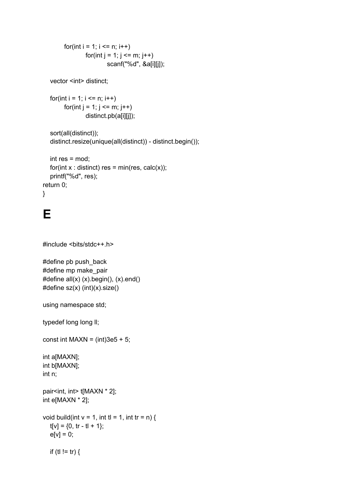```
for(int i = 1; i <= n; i++)
        for(int j = 1; j <= m; j++)
                scanf("%d", &a[i][j]);
```
vector <int> distinct;

```
for(int i = 1; i <= n; i++)
     for(int j = 1; j <= m; j++)
              distinct.pb(a[i][j]);
```

```
sort(all(distinct));
distinct.resize(unique(all(distinct)) - distinct.begin());
```

```
int res = mod;
  for(int x : distinct) res = min(res, calc(x));
  printf("%d", res);
return 0;
}
```
## **E**

```
#include <bits/stdc++.h>
```

```
#define pb push_back
#define mp make_pair
#define all(x) (x).begin(), (x).end()
#define sz(x) (int)(x).size()
```
using namespace std;

typedef long long II;

const int MAXN =  $(int)$ 3e5 + 5;

int a[MAXN]; int b[MAXN]; int n;

```
pair<int, int> t[MAXN * 2];
int e[MAXN * 2];
```

```
void build(int v = 1, int tl = 1, int tr = n) {
   t[v] = \{0, tr - tl + 1\};e[v] = 0;if (t| != tr) \{
```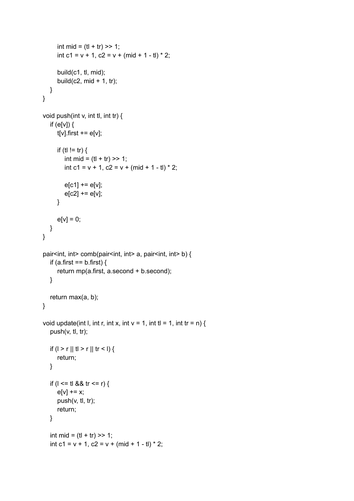```
int mid = (t + tr) >> 1;
     int c1 = v + 1, c2 = v + (mid + 1 - tl) * 2;
     build(c1, tl, mid);
     build(c2, mid + 1, tr);
  }
}
void push(int v, int tl, int tr) {
  if (e[v]) {
     t[v].first += e[v];
     if (tl != tr) {
        int mid = (tl + tr) >> 1;
        int c1 = v + 1, c2 = v + (mid + 1 - tl) * 2;
        e[c1] += e[v];e[c2] += e[v];}
     e[v] = 0;}
}
pair<int, int> comb(pair<int, int> a, pair<int, int> b) {
  if (a.first == b.first) {
     return mp(a.first, a.second + b.second);
  }
  return max(a, b);
}
void update(int I, int r, int x, int v = 1, int tl = 1, int tr = n) {
  push(v, tl, tr);
  if (1 > r || t > r || tr < I)return;
  }
  if (l \leq t at 8& tr \leq r) {
     e[v] += x;push(v, tl, tr);
     return;
  }
  int mid = (t + tr) >> 1;
  int c1 = v + 1, c2 = v + (mid + 1 - tl) * 2;
```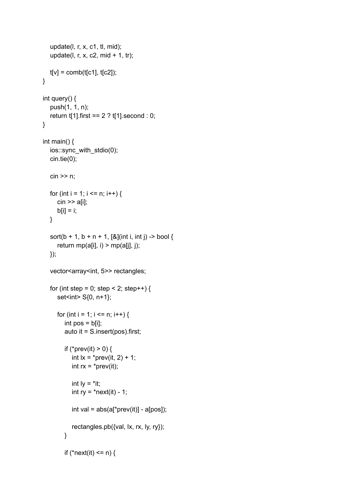```
update(l, r, x, c1, tl, mid);
  update(l, r, x, c2, mid + 1, tr);
  t[v] = comb(t[c1], t[c2]);}
int query() {
  push(1, 1, n);
  return t[1].first == 2 ? t[1].second : 0;
}
int main() {
  ios::sync_with_stdio(0);
  cin.tie(0);
  cin >> n;
  for (int i = 1; i <= n; i++) {
     cin >> a[i];
     b[i] = i;}
  sort(b + 1, b + n + 1, [&](int i, int j) -> bool {
     return mp(a[i], i) > mp(a[j], j);
  });
  vector<array<int, 5>> rectangles;
  for (int step = 0; step < 2; step++) {
     set<int> S{0, n+1};
     for (int i = 1; i <= n; i++) {
        int pos = b[i];
        auto it = S.insert(pos).first;
        if (*prev(it) > 0) {
           int 1x = \text{`prev}(it, 2) + 1;int rx = *prev(it);
           int ly = *it;
           int ry = *next(it) - 1;
           int val = abs(a['prev(it)] - a[pos]);
           rectangles.pb({val, lx, rx, ly, ry});
        }
        if (*next(it) <= n) {
```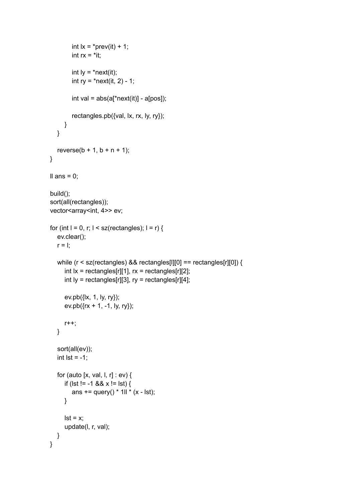```
int 1x = *prev(it) + 1;int rx = *it;
        int ly = *next(it);int ry = *next(it, 2) - 1;
        int val = abs(a['next(it)] - a[pos]);
        rectangles.pb({val, lx, rx, ly, ry});
     }
  }
   reverse(b + 1, b + n + 1);}
Il ans = 0;
build();
sort(all(rectangles));
vector<array<int, 4>> ev;
for (int l = 0, r; l < sz(rectangles); l = r) {
   ev.clear();
  r = 1;
  while (r < sz(rectangles) && rectangles[l][0] == rectangles[r][0]) {
     int x = rectangle[s][1], rx = rectangle[s][2];
     int ly = rectangles[r][3], ry = rectangles[r][4];
     ev.pb({lx, 1, ly, ry});
     ev.pb({rx + 1, -1, ly, ry});r++;
  }
   sort(all(ev));
  int lst = -1;
  for (auto [x, val, l, r] : ev) {
     if (lst != -1 && x != lst) {
        ans += query() * 1ll * (x - lst);
     }
     \mathsf{lst} = \mathsf{x};
     update(l, r, val);
  }
}
```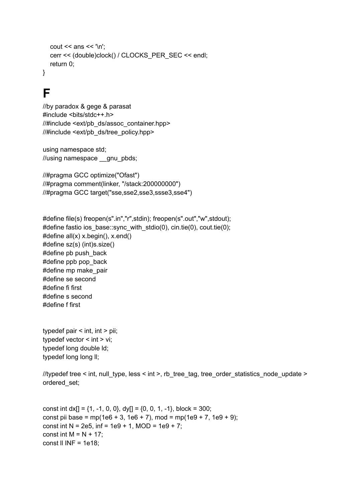```
cout << ans << '\n';
  cerr << (double)clock() / CLOCKS_PER_SEC << endl;
  return 0;
}
```
**F**

```
//by paradox & gege & parasat
#include <bits/stdc++.h>
//#include <ext/pb_ds/assoc_container.hpp>
//#include <ext/pb_ds/tree_policy.hpp>
```
using namespace std; //using namespace \_\_gnu\_pbds;

//#pragma GCC optimize("Ofast") //#pragma comment(linker, "/stack:200000000") //#pragma GCC target("sse,sse2,sse3,ssse3,sse4")

```
#define file(s) freopen(s".in","r",stdin); freopen(s".out","w",stdout);
#define fastio ios base::sync_with_stdio(0), cin.tie(0), cout.tie(0);
#define all(x) x.begin(), x.end()
#define sz(s) (int)s.size()
#define pb push_back
#define ppb pop_back
#define mp make_pair
#define se second
#define fi first
#define s second
#define f first
```
typedef pair < int, int > pii; typedef vector < int > vi; typedef long double ld; typedef long long II;

//typedef tree < int, null\_type, less < int >, rb\_tree\_tag, tree\_order\_statistics\_node\_update > ordered\_set;

const int dx[] =  $\{1, -1, 0, 0\}$ , dy[] =  $\{0, 0, 1, -1\}$ , block = 300; const pii base = mp(1e6 + 3, 1e6 + 7), mod = mp(1e9 + 7, 1e9 + 9); const int N = 2e5, inf = 1e9 + 1, MOD = 1e9 + 7; const int  $M = N + 17$ ; const  $\parallel$  INF = 1e18;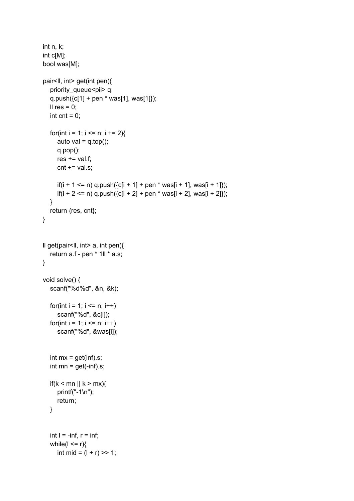```
int n, k;
int c[M];
bool was[M];
pair<ll, int> get(int pen){
  priority_queue<pii> q;
  q.push({c[1] + pen * was[1], was[1]});
  Il res = 0;
  int cnt = 0;
  for(int i = 1; i <= n; i += 2){
     auto val = q.top();
     q.pop();
     res += val.f;
     cnt += val.s;if(i + 1 <= n) q.push({c[i + 1] + pen * was[i + 1], was[i + 1]});
     if(i + 2 <= n) q.push({c[i + 2] + pen * was[i + 2], was[i + 2]});
  }
  return {res, cnt};
}
ll get(pair<ll, int> a, int pen){
  return a.f - pen * 1ll * a.s;
}
void solve() {
  scanf("%d%d", &n, &k);
  for(int i = 1; i \le n; i++)scanf("%d", &c[i]);
  for(int i = 1; i \le n; i++)scanf("%d", &was[i]);
  int mx = get(inf).s;int mn = get(-inf).s;if(k < mn || k > mx){
     printf("-1\n");
     return;
  }
  int l = -\inf, r = \inf;
  while(l \leq r){
     int mid = (l + r) >> 1;
```